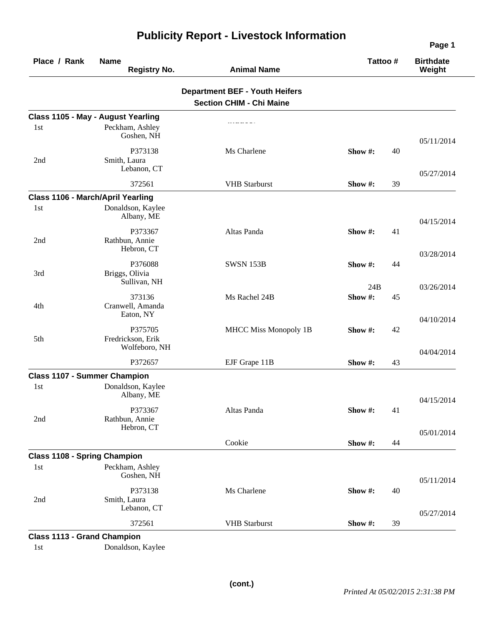| Place / Rank                        | <b>Name</b><br><b>Registry No.</b>            | <b>Animal Name</b>                                                       | Tattoo# | <b>Birthdate</b><br>Weight |
|-------------------------------------|-----------------------------------------------|--------------------------------------------------------------------------|---------|----------------------------|
|                                     |                                               | <b>Department BEF - Youth Heifers</b><br><b>Section CHIM - Chi Maine</b> |         |                            |
|                                     | Class 1105 - May - August Yearling            |                                                                          |         |                            |
| 1st                                 | Peckham, Ashley<br>Goshen, NH                 |                                                                          |         | 05/11/2014                 |
| 2nd                                 | P373138<br>Smith, Laura<br>Lebanon, CT        | Ms Charlene                                                              | Show #: | 40                         |
|                                     | 372561                                        | <b>VHB</b> Starburst                                                     | Show #: | 05/27/2014<br>39           |
|                                     | Class 1106 - March/April Yearling             |                                                                          |         |                            |
| 1st                                 | Donaldson, Kaylee<br>Albany, ME               |                                                                          |         | 04/15/2014                 |
| 2nd                                 | P373367<br>Rathbun, Annie<br>Hebron, CT       | Altas Panda                                                              | Show #: | 41                         |
| 3rd                                 | P376088<br>Briggs, Olivia                     | <b>SWSN 153B</b>                                                         | Show #: | 03/28/2014<br>44           |
|                                     | Sullivan, NH                                  |                                                                          | 24B     | 03/26/2014                 |
| 4th                                 | 373136<br>Cranwell, Amanda<br>Eaton, NY       | Ms Rachel 24B                                                            | Show#:  | 45<br>04/10/2014           |
| 5th                                 | P375705<br>Fredrickson, Erik<br>Wolfeboro, NH | <b>MHCC Miss Monopoly 1B</b>                                             | Show#:  | 42                         |
|                                     | P372657                                       | EJF Grape 11B                                                            | Show #: | 04/04/2014<br>43           |
| <b>Class 1107 - Summer Champion</b> |                                               |                                                                          |         |                            |
| 1st                                 | Donaldson, Kaylee<br>Albany, ME               |                                                                          |         | 04/15/2014                 |
| 2nd                                 | P373367<br>Rathbun, Annie<br>Hebron, CT       | Altas Panda                                                              | Show#:  | 41                         |
|                                     |                                               | Cookie                                                                   | Show #: | 05/01/2014<br>44           |
| <b>Class 1108 - Spring Champion</b> |                                               |                                                                          |         |                            |
| 1st                                 | Peckham, Ashley<br>Goshen, NH                 |                                                                          |         | 05/11/2014                 |
| 2nd                                 | P373138<br>Smith, Laura<br>Lebanon, CT        | Ms Charlene                                                              | Show#:  | 40                         |
|                                     | 372561                                        | <b>VHB</b> Starburst                                                     | Show #: | 05/27/2014<br>39           |

## **Publicity Report - Livestock Information**

1st Donaldson, Kaylee

**Page 1**